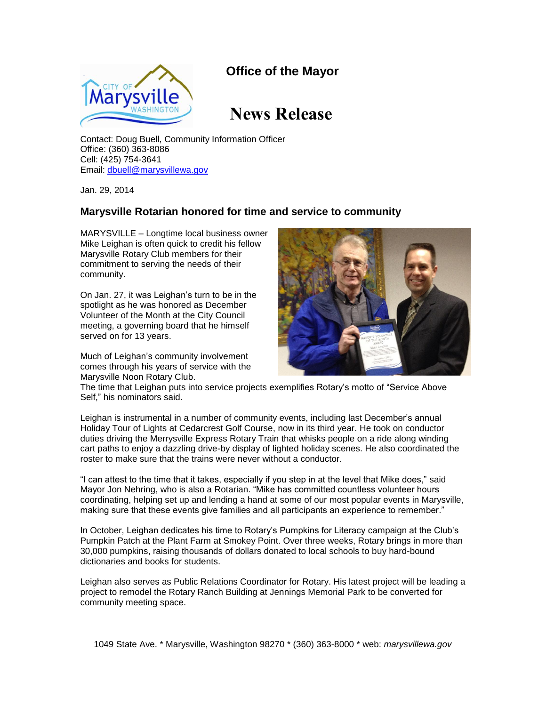## **Office of the Mayor**



## **News Release**

Contact: Doug Buell, Community Information Officer Office: (360) 363-8086 Cell: (425) 754-3641 Email: [dbuell@marysvillewa.gov](mailto:dbuell@marysvillewa.gov)

Jan. 29, 2014

## **Marysville Rotarian honored for time and service to community**

MARYSVILLE – Longtime local business owner Mike Leighan is often quick to credit his fellow Marysville Rotary Club members for their commitment to serving the needs of their community.

On Jan. 27, it was Leighan's turn to be in the spotlight as he was honored as December Volunteer of the Month at the City Council meeting, a governing board that he himself served on for 13 years.

Much of Leighan's community involvement comes through his years of service with the Marysville Noon Rotary Club.



The time that Leighan puts into service projects exemplifies Rotary's motto of "Service Above Self," his nominators said.

Leighan is instrumental in a number of community events, including last December's annual Holiday Tour of Lights at Cedarcrest Golf Course, now in its third year. He took on conductor duties driving the Merrysville Express Rotary Train that whisks people on a ride along winding cart paths to enjoy a dazzling drive-by display of lighted holiday scenes. He also coordinated the roster to make sure that the trains were never without a conductor.

"I can attest to the time that it takes, especially if you step in at the level that Mike does," said Mayor Jon Nehring, who is also a Rotarian. "Mike has committed countless volunteer hours coordinating, helping set up and lending a hand at some of our most popular events in Marysville, making sure that these events give families and all participants an experience to remember."

In October, Leighan dedicates his time to Rotary's Pumpkins for Literacy campaign at the Club's Pumpkin Patch at the Plant Farm at Smokey Point. Over three weeks, Rotary brings in more than 30,000 pumpkins, raising thousands of dollars donated to local schools to buy hard-bound dictionaries and books for students.

Leighan also serves as Public Relations Coordinator for Rotary. His latest project will be leading a project to remodel the Rotary Ranch Building at Jennings Memorial Park to be converted for community meeting space.